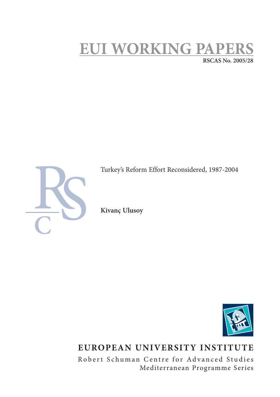# **EUI WORKING PAPERS RSCAS No. 2005/28**



Turkey's Reform Effort Reconsidered, 1987-2004

**Kivanç Ulusoy**



## **EUROPEAN UNIVERSITY INSTITUTE**

Robert Schuman Centre for Advanced Studies Mediterranean Programme Series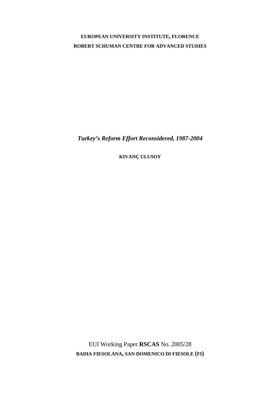### **EUROPEAN UNIVERSITY INSTITUTE, FLORENCE ROBERT SCHUMAN CENTRE FOR ADVANCED STUDIES**

*Turkey's Reform Effort Reconsidered, 1987-2004* 

**KIVANÇ ULUSOY**

EUI Working Paper **RSCAS** No. 2005/28 **BADIA FIESOLANA, SAN DOMENICO DI FIESOLE (FI)**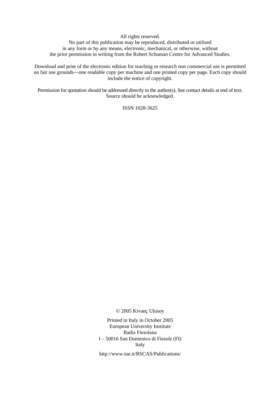All rights reserved.

No part of this publication may be reproduced, distributed or utilised in any form or by any means, electronic, mechanical, or otherwise, without the prior permission in writing from the Robert Schuman Centre for Advanced Studies.

Download and print of the electronic edition for teaching or research non commercial use is permitted on fair use grounds—one readable copy per machine and one printed copy per page. Each copy should include the notice of copyright.

Permission for quotation should be addressed directly to the author(s). See contact details at end of text. Source should be acknowledged.

ISSN 1028-3625

© 2005 Kivanç Ulusoy

Printed in Italy in October 2005 European University Institute Badia Fiesolana I – 50016 San Domenico di Fiesole (FI) Italy

http://www.iue.it/RSCAS/Publications/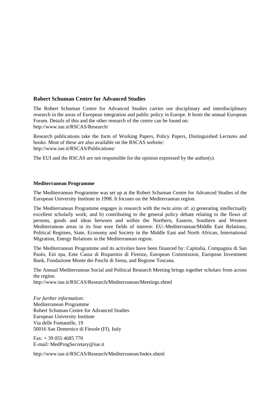### **Robert Schuman Centre for Advanced Studies**

The Robert Schuman Centre for Advanced Studies carries out disciplinary and interdisciplinary research in the areas of European integration and public policy in Europe. It hosts the annual European Forum. Details of this and the other research of the centre can be found on: http://www.iue.it/RSCAS/Research/

Research publications take the form of Working Papers, Policy Papers, Distinguished Lectures and books. Most of these are also available on the RSCAS website: http://www.iue.it/RSCAS/Publications/

The EUI and the RSCAS are not responsible for the opinion expressed by the author(s).

#### **Mediterranean Programme**

The Mediterranean Programme was set up at the Robert Schuman Centre for Advanced Studies of the European University Institute in 1998. It focuses on the Mediterranean region.

The Mediterranean Programme engages in research with the twin aims of: a) generating intellectually excellent scholarly work; and b) contributing to the general policy debate relating to the flows of persons, goods and ideas between and within the Northern, Eastern, Southern and Western Mediterranean areas in its four **c**ore fields of interest: EU–Mediterranean/Middle East Relations, Political Regimes, State, Economy and Society in the Middle East and North African, International Migration, Energy Relations in the Mediterranean region.

The Mediterranean Programme and its activities have been financed by: Capitalia, Compagnia di San Paolo, Eni spa, Ente Cassa di Risparmio di Firenze, European Commission, European Investment Bank, Fondazione Monte dei Paschi di Siena, and Regione Toscana.

The Annual Mediterranean Social and Political Research Meeting brings together scholars from across the region.

http://www.iue.it/RSCAS/Research/Mediterranean/Meetings.shtml

*For further information:*  Mediterranean Programme Robert Schuman Centre for Advanced Studies European University Institute Via delle Fontanelle, 19 50016 San Domenico di Fiesole (FI), Italy

 $Fax: + 390554685770$ E-mail: MedProgSecretary@iue.it

http://www.iue.it/RSCAS/Research/Mediterranean/Index.shtml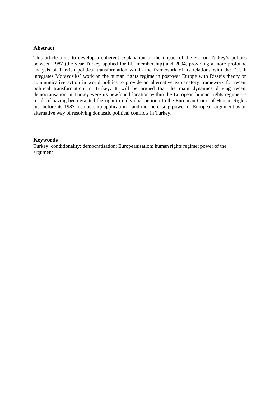#### **Abstract**

This article aims to develop a coherent explanation of the impact of the EU on Turkey's politics between 1987 (the year Turkey applied for EU membership) and 2004, providing a more profound analysis of Turkish political transformation within the framework of its relations with the EU. It integrates Moravcsiks' work on the human rights regime in post-war Europe with Risse's theory on communicative action in world politics to provide an alternative explanatory framework for recent political transformation in Turkey. It will be argued that the main dynamics driving recent democratisation in Turkey were its newfound location within the European human rights regime—a result of having been granted the right to individual petition to the European Court of Human Rights just before its 1987 membership application—and the increasing power of European argument as an alternative way of resolving domestic political conflicts in Turkey.

#### **Keywords**

Turkey; conditionality; democratisation; Europeanisation; human rights regime; power of the argument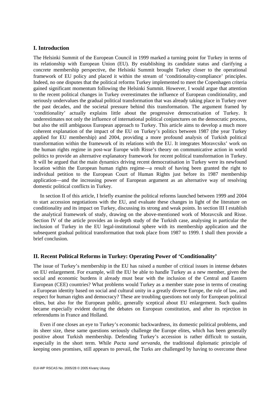#### **I. Introduction**

The Helsinki Summit of the European Council in 1999 marked a turning point for Turkey in terms of its relationship with European Union (EU). By establishing its candidate status and clarifying a concrete membership perspective, the Helsinki Summit brought Turkey closer to the operational framework of EU policy and placed it within the stream of 'conditionality-compliance' principles. Indeed, no one disputes that the political reforms Turkey implemented to meet the Copenhagen criteria gained significant momentum following the Helsinki Summit. However, I would argue that attention to the recent political changes in Turkey overestimates the influence of European conditionality, and seriously undervalues the gradual political transformation that was already taking place in Turkey over the past decades, and the societal pressure behind this transformation. The argument framed by 'conditionality' actually explains little about the progressive democratisation of Turkey. It underestimates not only the influence of international political conjunctures on the democratic process, but also the still ambiguous European approach to Turkey. This article aims to develop a much more coherent explanation of the impact of the EU on Turkey's politics between 1987 (the year Turkey applied for EU membership) and 2004, providing a more profound analysis of Turkish political transformation within the framework of its relations with the EU. It integrates Moravcsiks' work on the human rights regime in post-war Europe with Risse's theory on communicative action in world politics to provide an alternative explanatory framework for recent political transformation in Turkey. It will be argued that the main dynamics driving recent democratisation in Turkey were its newfound location within the European human rights regime—a result of having been granted the right to individual petition to the European Court of Human Rights just before its 1987 membership application—and the increasing power of European argument as an alternative way of resolving domestic political conflicts in Turkey.

In section II of this article, I briefly examine the political reforms launched between 1999 and 2004 to start accession negotiations with the EU, and evaluate these changes in light of the literature on conditionality and its impact on Turkey, discussing its strong and weak points. In section III I establish the analytical framework of study, drawing on the above-mentioned work of Moravcsik and Risse. Section IV of the article provides an in-depth study of the Turkish case, analysing in particular the inclusion of Turkey in the EU legal-institutional sphere with its membership application and the subsequent gradual political transformation that took place from 1987 to 1999. I shall then provide a brief conclusion.

#### **II. Recent Political Reforms in Turkey: Operating Power of 'Conditionality'**

The issue of Turkey's membership in the EU has raised a number of critical issues in intense debates on EU enlargement. For example, will the EU be able to handle Turkey as a new member, given the social and economic burdens it already must bear with the inclusion of the Central and Eastern European (CEE) countries? What problems would Turkey as a member state pose in terms of creating a European identity based on social and cultural unity in a greatly diverse Europe, the rule of law, and respect for human rights and democracy? These are troubling questions not only for European political elites, but also for the European public, generally sceptical about EU enlargement. Such qualms became especially evident during the debates on European constitution, and after its rejection in referendums in France and Holland.

Even if one closes an eye to Turkey's economic backwardness, its domestic political problems, and its sheer size, these same questions seriously challenge the Europe elites, which has been generally positive about Turkish membership. Defending Turkey's accession is rather difficult to sustain, especially in the short term. While *Pacta sund servanda*, the traditional diplomatic principle of keeping ones promises, still appears to prevail, the Turks are challenged by having to overcome these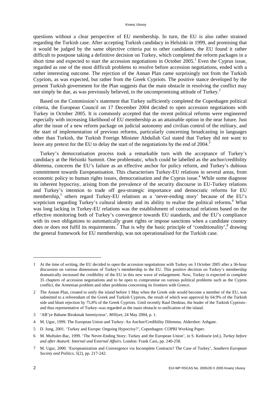questions without a clear perspective of EU membership. In turn, the EU is also rather strained regarding the Turkish case. After accepting Turkish candidacy in Helsinki in 1999, and promising that it would be judged by the same objective criteria put to other candidates, the EU found it rather difficult to postpone taking a definitive decision on Turkey, which completed the reform packages in a short time and expected to start the accession negotiations in October 2005.<sup>1</sup> Even the Cyprus issue, regarded as one of the most difficult problems to resolve before accession negotiations, ended with a rather interesting outcome. The rejection of the Annan Plan came surprisingly not from the Turkish Cypriots, as was expected, but rather from the Greek Cypriots. The positive stance developed by the present Turkish government for the Plan suggests that the main obstacle in resolving the conflict may not simply be due, as was previously believed, to the uncompromising attitude of Turkey.<sup>2</sup>

Based on the Commission's statement that Turkey sufficiently completed the Copenhagen political criteria, the European Council on 17 December 2004 decided to open accession negotiations with Turkey in October 2005. It is commonly accepted that the recent political reforms were engineered especially with increasing likelihood of EU membership as an attainable option in the near future. Just after the issue of a new reform package on judicial autonomy and civilian control of the military, and the start of implementation of previous reforms, particularly concerning broadcasting in languages other than Turkish, the Turkish Foreign Minister Abdullah Gul stated that Turkey did not want to leave any pretext for the EU to delay the start of the negotiations by the end of 2004.<sup>3</sup>

Turkey's democratisation process took a remarkable turn with the acceptance of Turkey's candidacy at the Helsinki Summit. One problematic, which could be labelled as the anchor/credibility dilemma, concerns the EU's failure as an effective anchor for policy reform, and Turkey's dubious commitment towards Europeanisation. This characterises Turkey-EU relations in several areas, from economic policy to human rights issues, democratisation and the Cyprus issue.<sup>4</sup> While some diagnose its inherent hypocrisy, arising from the prevalence of the security discourse in EU-Turkey relations and Turkey's intention to trade off geo-strategic importance and democratic reforms for EU membership,<sup>5</sup> others regard Turkey-EU relations as a 'never-ending story' because of the EU's scepticism regarding Turkey's cultural identity and its ability to realise the political reforms.<sup>6</sup> What was long lacking in Turkey-EU relations was the establishment of contractual relations based on the effective monitoring both of Turkey's convergence towards EU standards, and the EU's compliance with its own obligations to automatically grant rights or impose sanctions when a candidate country does or does not fulfil its requirements.<sup>7</sup> That is why the basic principle of 'conditionality',  $\delta$  drawing the general framework for EU membership, was not operationalised for the Turkish case.

<sup>1</sup> At the time of writing, the EU decided to open the accession negotiations with Turkey on 3 October 2005 after a 36-hour discussion on various dimensions of Turkey's membership to the EU. This positive decision on Turkey's membership dramatically increased the credibility of the EU in this new wave of enlargement. Now, Turkey is expected to complete 35 chapters of accession negotiations and to be open to compromise on various political problems such as the Cyprus conflict, the Armenian problem and other problems concerning its frontiers with Greece.

<sup>2</sup> The Annan Plan, created to unify the island before 1 May when the Greek side would become a member of the EU, was submitted to a referendum of the Greek and Turkish Cypriots, the result of which was approval by 64.9% of the Turkish side and blunt rejection by 75.8% of the Greek Cypriots. Until recently Rauf Denktas, the leader of the Turkish Cypriots– and thus representative of Turkey–was regarded as the main obstacle to unification of the island.

<sup>3 &#</sup>x27;AB'ye Bahane Birakmak Istemiyoruz', *Milliyet*, 24 May 2004, p. 1.

<sup>4</sup> M. Ugur, 1999. The European Union and Turkey: An Anchor/Credibility Dilemma. Aldershot: Ashgate.

<sup>5</sup> D. Jung, 2001. 'Turkey and Europe: Ongoing Hypocrisy?', Copenhagen: COPRI Working Paper.

<sup>6</sup> M. Muftuler-Bac, 1999. 'The Never-Ending Story: Turkey and the European Union', in S. Kedourie (ed.), *Turkey before and after Ataturk: Internal and External Affairs.* London: Frank Cass, pp. 240-258.

<sup>7</sup> M. Ugur, 2000. 'Europeanization and Convergence via Incomplete Contracts? The Case of Turkey', *Southern European Society and Politics*, 5(2), pp. 217-242.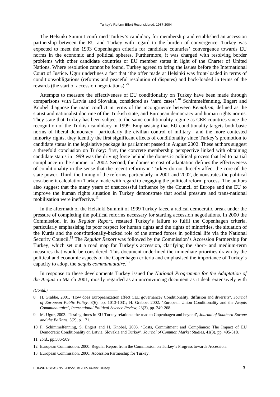The Helsinki Summit confirmed Turkey's candidacy for membership and established an accession partnership between the EU and Turkey with regard to the burden of convergence. Turkey was expected to meet the 1993 Copenhagen criteria for candidate countries' convergence towards EU norms in the economic and political spheres. Furthermore, it was charged with resolving border problems with other candidate countries or EU member states in light of the Charter of United Nations. Where resolution cannot be found, Turkey agreed to bring the issues before the International Court of Justice. Ugur underlines a fact that 'the offer made at Helsinki was front-loaded in terms of conditions/obligations (reforms and peaceful resolution of disputes) and back-loaded in terms of the rewards (the start of accession negotiations).<sup>9</sup>

Attempts to measure the effectiveness of EU conditionality on Turkey have been made through comparisons with Latvia and Slovakia, considered as 'hard cases'.<sup>10</sup> Schimmelfenning, Engert and Knobel diagnose the main conflict in terms of the incongruence between *Kemalism*, defined as the statist and nationalist doctrine of the Turkish state, and European democracy and human rights norms. They state that Turkey has been subject to the same conditionality regime as CEE countries since the recognition of the Turkish candidacy in 1999. Emphasising that EU conditionality targets both basic norms of liberal democracy—particularly the civilian control of military—and the more contested minority rights, they identify the first significant effects of conditionality since Turkey's promotion to candidate status in the legislative package its parliament passed in August 2002. These authors suggest a threefold conclusion on Turkey: first, the concrete membership perspective linked with obtaining candidate status in 1999 was the driving force behind the domestic political process that led to partial compliance in the summer of 2002. Second, the domestic cost of adaptation defines the effectiveness of conditionality in the sense that the recent reforms in Turkey do not directly affect the core of the state power. Third, the timing of the reforms, particularly in 2001 and 2002, demonstrates the political cost-benefit calculation Turkey made with regard to engaging the political reform process. The authors also suggest that the many years of unsuccessful influence by the Council of Europe and the EU to improve the human rights situation in Turkey demonstrate that social pressure and trans-national mobilisation were ineffective.<sup>11</sup>

In the aftermath of the Helsinki Summit of 1999 Turkey faced a radical democratic break under the pressure of completing the political reforms necessary for starting accession negotiations. In 2000 the Commission, in its *Regular Report*, restated Turkey's failure to fulfil the Copenhagen criteria, particularly emphasising its poor respect for human rights and the rights of minorities, the situation of the Kurds and the constitutionally-backed role of the armed forces in political life via the National Security Council.12 The *Regular Report* was followed by the Commission's Accession Partnership for Turkey, which set out a road map for Turkey's accession, clarifying the short- and medium-term measures that would be considered. This document underlined the immediate priorities drawn by the political and economic aspects of the Copenhagen criteria and emphasised the importance of Turkey's capacity to adopt the *acquis communautaire*. 13

In response to these developments Turkey issued the *National Programme for the Adaptation of the Acquis* in March 2001, mostly regarded as an unconvincing document as it dealt extensively with

*(Contd.)* 

10 F. Schimmelfenning, S. Engert and H. Knobel, 2003. 'Costs, Commitment and Compliance: The Impact of EU Democratic Conditionality on Latvia, Slovakia and Turkey', *Journal of Common Market Studies*, 41(3), pp. 495-518.

<sup>8</sup> H. Grabbe, 2001. 'How does Europeanization affect CEE governance? Conditionality, diffusion and diversity', *Journal of European Public Policy*, 8(6), pp. 1013-1031; H. Grabbe, 2002. 'European Union Conditionality and the *Acquis Communautaire*', *International Political Science Review*, 23(3), pp. 249-268.

<sup>9</sup> M. Ugur, 2003. 'Testing times in EU-Turkey relations: the road to Copenhagen and beyond', *Journal of Southern Europe and the Balkans*, 5(2), p. 171.

<sup>11</sup> *Ibid.*, pp.506-509.

<sup>12</sup> European Commission, 2000. Regular Report from the Commission on Turkey's Progress towards Accession.

<sup>13</sup> European Commission, 2000. Accession Partnership for Turkey.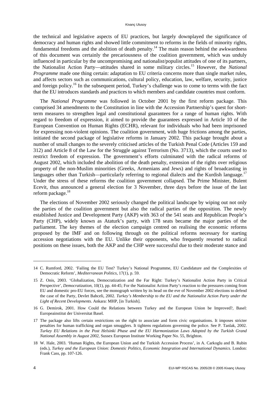the technical and legislative aspects of EU practices, but largely downplayed the significance of democracy and human rights and showed little commitment to reforms in the fields of minority rights, fundamental freedoms and the abolition of death penalty.<sup>14</sup> The main reason behind the awkwardness of this document was certainly the precariousness of the coalition government, which was unduly influenced in particular by the uncompromising and nationalist/populist attitudes of one of its partners, the Nationalist Action Party—attitudes shared in some military circles.15 However, the *National Programme* made one thing certain: adaptation to EU criteria concerns more than single market rules, and affects sectors such as communications, cultural policy, education, law, welfare, security, justice and foreign policy.<sup>16</sup> In the subsequent period, Turkey's challenge was to come to terms with the fact that the EU introduces standards and practices to which members and candidate countries must conform.

The *National Programme* was followed in October 2001 by the first reform package. This comprised 34 amendments to the Constitution in line with the Accession Partnership's quest for shortterm measures to strengthen legal and constitutional guarantees for a range of human rights. With regard to freedom of expression, it aimed to provide the guarantees expressed in Article 10 of the European Convention on Human Rights (ECHR), relevant for individuals who had been imprisoned for expressing non-violent opinions. The coalition government, with huge frictions among the parties, initiated the second package of legislative reforms in January 2002. This package brought about a number of small changes to the severely criticised articles of the Turkish Penal Code (Articles 159 and 312) and Article 8 of the Law for the Struggle against Terrorism (No. 3713), which the courts used to restrict freedom of expression. The government's efforts culminated with the radical reforms of August 2002, which included the abolition of the death penalty, extension of the rights over religious property of the non-Muslim minorities (Greeks, Armenians and Jews) and rights of broadcasting in languages other than Turkish—particularly referring to regional dialects and the Kurdish language.<sup>17</sup> Under the stress of these reforms the coalition government collapsed. The Prime Minister, Bulent Ecevit, thus announced a general election for 3 November, three days before the issue of the last reform package.<sup>18</sup>

The elections of November 2002 seriously changed the political landscape by wiping out not only the parties of the coalition government but also the radical parties of the opposition. The newly established Justice and Development Party (AKP) with 363 of the 541 seats and Republican People's Party (CHP), widely known as Ataturk's party, with 178 seats became the major parties of the parliament. The key themes of the election campaign centred on realising the economic reforms proposed by the IMF and on following through on the political reforms necessary for starting accession negotiations with the EU. Unlike their opponents, who frequently resorted to radical positions on these issues, both the AKP and the CHP were successful due to their moderate stance and

<sup>14</sup> C. Rumford, 2002. 'Failing the EU Test? Turkey's National Programme, EU Candidature and the Complexities of Democratic Reform', *Mediterranean Politics*, 17(1), p. 59.

<sup>15</sup> Z. Onis, 2003. 'Globalization, Democratization and the Far Right: Turkey's Nationalist Action Party in Critical Perspective', *Democratization*, 10(1), pp. 44-45; For the Nationalist Action Party's reaction to the pressures coming from EU and domestic pro-EU forces, see the monograph written by its head on the eve of November 2002 elections to defend the case of the Party, Devlet Bahceli, 2002. *Turkey's Membership to the EU and the Nationalist Action Party under the Light of Recent Developments.* Ankara: MHP, [in Turkish].

<sup>16</sup> G. Demirok, 2001. How Could the Relations between Turkey and the European Union be Improved?, Basel: Europeainstitut der Universitat Basel.

<sup>17</sup> The package also lifts certain restrictions on the right to associate and form civic organisations. It imposes stricter penalties for human trafficking and organ smugglers. It tightens regulations governing the police. See P. Tanlak, 2002. *Turkey EU Relations in the Post Helsinki Phase and the EU Harmonization Laws Adopted by the Turkish Grand National Assembly in August 2002*, Sussex European Institute Working Paper No. 55, Brighton.

<sup>18</sup> W. Hale, 2003. 'Human Rights, the European Union and the Turkish Accession Process', in A. Carkoglu and B. Rubin (eds.), *Turkey and the European Union: Domestic Politics, Economic Integration and International Dynamics*. London: Frank Cass, pp. 107-126.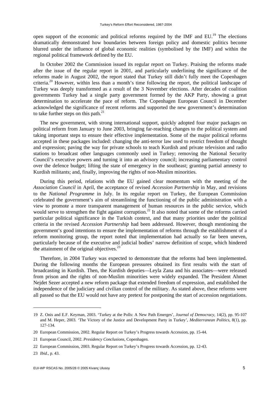open support of the economic and political reforms required by the IMF and EU.<sup>19</sup> The elections dramatically demonstrated how boundaries between foreign policy and domestic politics become blurred under the influence of global economic realities (symbolised by the IMF) and within the regional political framework defined by the EU.

In October 2002 the Commission issued its regular report on Turkey. Praising the reforms made after the issue of the regular report in 2001, and particularly underlining the significance of the reforms made in August 2002, the report stated that Turkey still didn't fully meet the Copenhagen criteria.20 However, within less than a month's time following the report, the political landscape of Turkey was deeply transformed as a result of the 3 November elections. After decades of coalition governments Turkey had a single party government formed by the AKP Party, showing a great determination to accelerate the pace of reform. The Copenhagen European Council in December acknowledged the significance of recent reforms and supported the new government's determination to take further steps on this path. $^{21}$ 

The new government, with strong international support, quickly adopted four major packages on political reform from January to June 2003, bringing far-reaching changes to the political system and taking important steps to ensure their effective implementation. Some of the major political reforms accepted in these packages included: changing the anti-terror law used to restrict freedom of thought and expression; paving the way for private schools to teach Kurdish and private television and radio stations to broadcast other languages commonly used in Turkey; removing the National Security Council's executive powers and turning it into an advisory council; increasing parliamentary control over the defence budget; lifting the state of emergency in the southeast; granting partial amnesty to Kurdish militants; and, finally, improving the rights of non-Muslim minorities.

During this period, relations with the EU gained clear momentum with the meeting of the *Association Council* in April, the acceptance of revised *Accession Partnership* in May, and revisions to the *National Programme* in July. In its regular report on Turkey, the European Commission celebrated the government's aim of streamlining the functioning of the public administration with a view to promote a more transparent management of human resources in the public service, which would serve to strengthen the fight against corruption.<sup>22</sup> It also noted that some of the reforms carried particular political significance in the Turkish context, and that many priorities under the political criteria in the revised *Accession Partnership* had been addressed. However, though mentioning the government's good intentions to ensure the implementation of reforms through the establishment of a reform monitoring group, the report noted that implementation had actually so far been uneven, particularly because of the executive and judicial bodies' narrow definition of scope, which hindered the attainment of the original objectives. $^{23}$ 

Therefore, in 2004 Turkey was expected to demonstrate that the reforms had been implemented. During the following months the European pressures obtained its first results with the start of broadcasting in Kurdish. Then, the Kurdish deputies—Leyla Zana and his associates—were released from prison and the rights of non-Muslim minorities were widely expanded. The President Ahmet Nejdet Sezer accepted a new reform package that extended freedom of expression, and established the independence of the judiciary and civilian control of the military. As stated above, these reforms were all passed so that the EU would not have any pretext for postponing the start of accession negotiations.

<sup>19</sup> Z. Onis and E.F. Keyman, 2003. 'Turkey at the Polls: A New Path Emerges', *Journal of Democracy*, 14(2), pp. 95-107 and M. Heper, 2003. 'The Victory of the Justice and Development Party in Turkey', *Mediterranean Politics*, 8(1), pp. 127-134.

<sup>20</sup> European Commission, 2002. Regular Report on Turkey's Progress towards Accession, pp. 15-44.

<sup>21</sup> European Council, 2002. *Presidency Conclusions*, Copenhagen.

<sup>22</sup> European Commission, 2003. Regular Report on Turkey's Progress towards Accession, pp. 12-43.

<sup>23</sup> *Ibid.*, p. 43.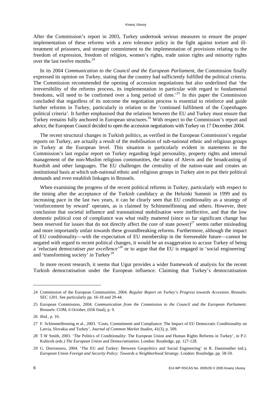After the Commission's report in 2003, Turkey undertook serious measures to ensure the proper implementation of these reforms with a zero tolerance policy in the fight against torture and illtreatment of prisoners, and stronger commitment to the implementation of provisions relating to the freedom of expression, freedom of religion, women's rights, trade union rights and minority rights over the last twelve months.<sup>24</sup>

In its 2004 *Communication to the Council and the European Parliament*, the Commission finally expressed its opinion on Turkey, stating that the country had sufficiently fulfilled the political criteria. The Commission recommended the opening of accession negotiations but also underlined that 'the irreversibility of the reforms process, its implementation in particular with regard to fundamental freedoms, will need to be confirmed over a long period of time.<sup>25</sup> In this paper the Commission concluded that regardless of its outcome the negotiation process is essential to reinforce and guide further reforms in Turkey, particularly in relation to the 'continued fulfilment of the Copenhagen political criteria'. It further emphasised that the relations between the EU and Turkey must ensure that Turkey remains fully anchored in European structures.<sup>26</sup> With respect to the Commission's report and advice, the European Council decided to open the accession negotiations with Turkey on 17 December 2004.

The recent structural changes in Turkish politics, as verified in the European Commission's regular reports on Turkey, are actually a result of the mobilisation of sub-national ethnic and religious groups in Turkey at the European level. This situation is particularly evident in statements in the Commission's last regular report on Turkey regarding legal personality, property rights and internal management of the non-Muslim religious communities, the status of Alevis and the broadcasting of Kurdish and other languages. The EU challenges the centrality of the nation-state and creates an institutional basis at which sub-national ethnic and religious groups in Turkey aim to put their political demands and even establish linkages in Brussels.

When examining the progress of the recent political reforms in Turkey, particularly with respect to the timing after the acceptance of the Turkish candidacy at the Helsinki Summit in 1999 and its increasing pace in the last two years, it can be clearly seen that EU conditionality as a strategy of 'reinforcement by reward' operates, as is claimed by Schimmelfinning and others. However, their conclusion that societal influence and transnational mobilisation were ineffective, and that the low domestic political cost of compliance was what really mattered (since so far significant change has been reserved for issues that do not directly affect the core of state power)<sup>27</sup> seems rather misleading and more importantly unfair towards these groundbreaking reforms. Furthermore, although the impact of EU conditionality—with the expectation of EU membership in the foreseeable future—cannot be negated with regard to recent political changes, it would be an exaggeration to accuse Turkey of being a 'reluctant democratiser *par excellence*<sup>28</sup> or to argue that the EU is engaged in 'social engineering' and 'transforming society' in Turkey<sup>29</sup>

In more recent research, it seems that Ugur provides a wider framework of analysis for the recent Turkish democratisation under the European influence. Claiming that Turkey's democratisation

<sup>24</sup> Commission of the European Communities, 2004. *Regular Report on Turkey's Progress towards Accession*. Brussels: SEC 1201. See particularly pp. 16-18 and 29-44.

<sup>25</sup> European Commission, 2004. *Communication from the Commission to the Council and the European Parliament*. Brussels: COM, 6 October, (656 final), p. 9.

<sup>26</sup> *Ibid.*, p. 10.

<sup>27</sup> F. Schimmelfenning et al., 2003. 'Costs, Commitment and Compliance: The Impact of EU Democratic Conditionality on Latvia, Slovakia and Turkey', *Journal of Common Market Studies*, 41(3), p. 509.

<sup>28</sup> T.W Smith, 2003. 'The Politics of Conditionality: The European Union and Human Rights Reforms in Turkey', in P.J. Kubicek (eds.) *The European Union and Democratization*. London: Routledge, pp. 127-128.

<sup>29</sup> G. Dorronsoro, 2004. 'The EU and Turkey: Between Geopolitics and Social Engineering' in R. Dannreuther (ed.), *European Union Foreign and Security Policy: Towards a Neighborhood Strategy*. London: Routledge, pp. 58-59.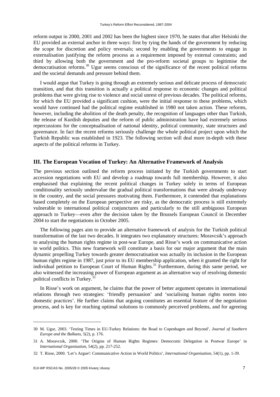reform output in 2000, 2001 and 2002 has been the highest since 1970, he states that after Helsinki the EU provided an external anchor in three ways: first by tying the hands of the government by reducing the scope for discretion and policy reversals; second by enabling the governments to engage in externalisation justifying the reform process as a requirement imposed by external constraints; and third by allowing both the government and the pro-reform societal groups to legitimise the democratisation reforms.30 Ugur seems conscious of the significance of the recent political reforms and the societal demands and pressure behind them.

I would argue that Turkey is going through an extremely serious and delicate process of democratic transition, and that this transition is actually a political response to economic changes and political problems that were giving rise to violence and social unrest of previous decades. The political reforms, for which the EU provided a significant cushion, were the initial response to these problems, which would have continued had the political regime established in 1980 not taken action. These reforms, however, including the abolition of the death penalty, the recognition of languages other than Turkish, the release of Kurdish deputies and the reform of public administration have had extremely serious repercussions for the conceptualisation of national identity, political community, state structures and governance. In fact the recent reforms seriously challenge the whole political project upon which the Turkish Republic was established in 1923. The following section will deal more in-depth with these aspects of the political reforms in Turkey.

#### **III. The European Vocation of Turkey: An Alternative Framework of Analysis**

The previous section outlined the reform process initiated by the Turkish governments to start accession negotiations with EU and develop a roadmap towards full membership. However, it also emphasised that explaining the recent political changes in Turkey solely in terms of European conditionality seriously undervalue the gradual political transformations that were already underway in the country, and the social pressures motivating them. Furthermore, it contended that explanations based completely on the European perspective are risky, as the democratic process is still extremely vulnerable to international political conjunctures and particularly to the still ambiguous European approach to Turkey—even after the decision taken by the Brussels European Council in December 2004 to start the negotiations in October 2005.

The following pages aim to provide an alternative framework of analysis for the Turkish political transformation of the last two decades. It integrates two explanatory structures: Moravcsik's approach to analysing the human rights regime in post-war Europe, and Risse's work on communicative action in world politics. This new framework will constitute a basis for our major argument that the main dynamic propelling Turkey towards greater democratisation was actually its inclusion in the European human rights regime in 1987, just prior to its EU membership application, when it granted the right for individual petition to European Court of Human Rights.<sup>31</sup> Furthermore, during this same period, we also witnessed the increasing power of European argument as an alternative way of resolving domestic political conflicts in Turkey.<sup>3</sup>

In Risse's work on argument, he claims that the power of better argument operates in international relations through two strategies: 'friendly persuasion' and 'socialising human rights norms into domestic practices'. He further claims that arguing constitutes an essential feature of the negotiation process, and is key for reaching optimal solutions to commonly perceived problems, and for agreeing

<sup>30</sup> M. Ugur, 2003. 'Testing Times in EU-Turkey Relations: the Road to Copenhagen and Beyond', *Journal of Southern Europe and the Balkans*, 5(2), p. 176.

<sup>31</sup> A. Moravcsik, 2000. 'The Origins of Human Rights Regimes: Democratic Delegation in Postwar Europe' in *International Organization*, 54(2), pp. 217-252.

<sup>32</sup> T. Risse, 2000. 'Let's Argue!: Communicative Action in World Politics', *International Organization*, 54(1), pp. 1-39.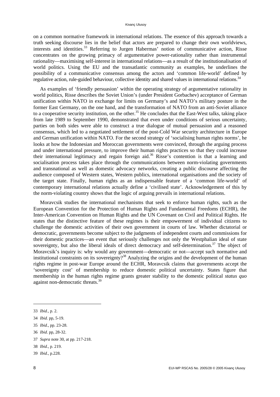on a common normative framework in international relations. The essence of this approach towards a truth seeking discourse lies in the belief that actors are prepared to change their own worldviews, interests and identities.<sup>33</sup> Referring to Jurgen Habermas' notion of communicative action, Risse concentrates on the growing primacy of argumentative power-rationality rather than instrumental rationality—maximising self-interest in international relations—as a result of the institutionalisation of world politics. Using the EU and the transatlantic community as examples, he underlines the possibility of a communicative consensus among the actors and 'common life-world' defined by regulative action, rule-guided behaviour, collective identity and shared values in international relations.<sup>34</sup>

As examples of 'friendly persuasion' within the operating strategy of argumentative rationality in world politics, Risse describes the Soviet Union's (under President Gorbachev) acceptance of German unification within NATO in exchange for limits on Germany's and NATO's military posture in the former East Germany, on the one hand, and the transformation of NATO from an anti-Soviet alliance to a cooperative security institution, on the other.<sup>35</sup> He concludes that the East-West talks, taking place from late 1989 to September 1990, demonstrated that even under conditions of serious uncertainty, parties on both sides were able to construct a true dialogue of mutual persuasion and a reasoned consensus, which led to a negotiated settlement of the post-Cold War security architecture in Europe and German unification within NATO. For the second strategy of 'socialising human rights norms', he looks at how the Indonesian and Moroccan governments were convinced, through the arguing process and under international pressure, to improve their human rights practices so that they could increase their international legitimacy and regain foreign aid.<sup>36</sup> Risse's contention is that a learning and socialisation process takes place through the communications between norm-violating governments and transnational as well as domestic advocacy networks, creating a public discourse affecting the audience composed of Western states, Western publics, international organisations and the society of the target state. Finally, human rights as an indispensable feature of a 'common life-world' of contemporary international relations actually define a 'civilised state'. Acknowledgement of this by the norm-violating country shows that the logic of arguing prevails in international relations.

Moravcsik studies the international mechanisms that seek to enforce human rights, such as the European Convention for the Protection of Human Rights and Fundamental Freedoms (ECHR), the Inter-American Convention on Human Rights and the UN Covenant on Civil and Political Rights. He states that the distinctive feature of these regimes is their empowerment of individual citizens to challenge the domestic activities of their own government in courts of law. Whether dictatorial or democratic, governments become subject to the judgments of independent courts and commissions for their domestic practices—an event that seriously challenges not only the Westphalian ideal of state sovereignty, but also the liberal ideals of direct democracy and self-determination.<sup>37</sup> The object of Moravcsik's inquiry is: why would any government—democratic or not—accept such normative and institutional constraints on its sovereignty?<sup>38</sup> Analyzing the origins and the development of the human rights regime in post-war Europe around the ECHR, Moravcsik claims that governments accept the 'sovereignty cost' of membership to reduce domestic political uncertainty. States figure that membership in the human rights regime grants greater stability to the domestic political *status quo* against non-democratic threats.39

<sup>33</sup> *Ibid.*, p. 2.

<sup>34</sup> *Ibid.* pp, 5-19.

<sup>35</sup> *Ibid.*, pp. 23-28.

<sup>36</sup> *Ibid*. pp, 28-32.

<sup>37</sup> *Supra* note 30, at pp. 217-218.

<sup>38</sup> *Ibid.*, p. 219.

<sup>39</sup> *Ibid.*, p.228.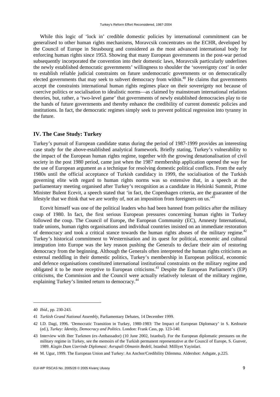While this logic of 'lock in' credible domestic policies by international commitment can be generalised to other human rights mechanisms, Moravcsik concentrates on the ECHR, developed by the Council of Europe in Strasbourg and considered as the most advanced international body for enforcing human rights since 1953. Showing that many European governments in the post-war period subsequently incorporated the convention into their domestic laws, Moravcsik particularly underlines the newly established democratic governments' willingness to shoulder the 'sovereignty cost' in order to establish reliable judicial constraints on future undemocratic governments or on democratically elected governments that may seek to subvert democracy from within.<sup>40</sup> He claims that governments accept the constraints international human rights regimes place on their sovereignty not because of coercive politics or socialisation to idealistic norms—as claimed by mainstream international relations theories, but, rather, a 'two-level game' that governments of newly established democracies play to tie the hands of future governments and thereby enhance the credibility of current domestic policies and institutions. In fact, the democratic regimes simply seek to prevent political regression into tyranny in the future.

#### **IV. The Case Study: Turkey**

Turkey's pursuit of European candidate status during the period of 1987-1999 provides an interesting case study for the above-established analytical framework. Briefly stating, Turkey's vulnerability to the impact of the European human rights regime, together with the growing denationalisation of civil society in the post 1980 period, came just when the 1987 membership application opened the way for the use of European argument as a technique for resolving domestic political conflicts. From the early 1980s until the official acceptance of Turkish candidacy in 1999, the socialisation of the Turkish governing elite with regard to human rights norms was so extensive that, in a speech at the parliamentary meeting organised after Turkey's recognition as a candidate in Helsinki Summit, Prime Minister Bulent Ecevit, a speech stated that 'in fact, the Copenhagen criteria, are the guarantee of the lifestyle that we think that we are worthy of, not an imposition from foreigners on us.<sup>4</sup>

Ecevit himself was one of the political leaders who had been banned from politics after the military coup of 1980. In fact, the first serious European pressures concerning human rights in Turkey followed the coup. The Council of Europe, the European Community (EC), Amnesty International, trade unions, human rights organisations and individual countries insisted on an immediate restoration of democracy and took a critical stance towards the human rights abuses of the military regime.<sup>42</sup> Turkey's historical commitment to Westernisation and its quest for political, economic and cultural integration into Europe was the key reason pushing the Generals to declare their aim of restoring democracy from the beginning. Although the Generals often interpreted the human rights criticisms as external meddling in their domestic politics, Turkey's membership in European political, economic and defence organisations constituted international institutional constraints on the military regime and obligated it to be more receptive to European criticisms.<sup>43</sup> Despite the European Parliament's (EP) criticisms, the Commission and the Council were actually relatively tolerant of the military regime, explaining Turkey's limited return to democracy.<sup>44</sup>

<sup>40</sup> *Ibid.*, pp. 230-243.

<sup>41</sup> *Turkish Grand National Assembly*, Parliamentary Debates, 14 December 1999.

<sup>42</sup> I.D. Dagi, 1996. 'Democratic Transition in Turkey, 1980-1983: The Impact of European Diplomacy' in S. Kedourie (ed.), *Turkey: Identity, Democracy and Politics*. London: Frank Cass, pp. 123-140.

<sup>43</sup> Interview with Ilter Turkmen (ex-Ambassador) (10 June 2002, Istanbul). For the European diplomatic pressures on the military regime in Turkey, see the memoirs of the Turkish permanent representative at the Council of Europe, S. Gunver, 1989. *Kizgin Dam Uzerinde Diplomasi: Avrupali Olmanin Bedeli*, Istanbul: Milliyet Yayinlari.

<sup>44</sup> M. Ugur, 1999. The European Union and Turkey: An Anchor/Credibility Dilemma. Aldershot: Ashgate, p.225.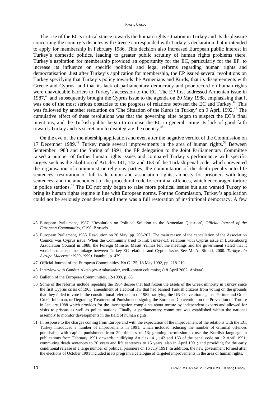#### Kivanç Ulusoy

The rise of the EC's critical stance towards the human rights situation in Turkey and its displeasure concerning the country's disputes with Greece corresponded with Turkey's declaration that it intended to apply for membership in February 1986. This decision also increased European public interest in Turkey's domestic politics, leading to greater public scrutiny of human rights problems there. Turkey's aspiration for membership provided an opportunity for the EC, particularly for the EP, to increase its influence on specific political and legal reforms regarding human rights and democratisation. Just after Turkey's application for membership, the EP issued several resolutions on Turkey specifying that Turkey's policy towards the Armenians and Kurds, that its disagreements with Greece and Cyprus, and that its lack of parliamentary democracy and poor record on human rights were unavoidable barriers to Turkey's accession to the EC. The EP first addressed Armenian issue in 1987.<sup>45</sup> and subsequently brought the Cyprus issue to the agenda on 20 May 1988, emphasising that it was one of the most serious obstacles to the progress of relations between the EC and Turkey.<sup>46</sup> This was followed by another resolution on 'The Situation of the Kurds in Turkey' on 9 April 1992.<sup>47</sup> The cumulative effect of these resolutions was that the governing elite began to suspect the EC's final intentions, and the Turkish public began to criticise the EC in general, citing its lack of good faith towards Turkey and its secret aim to disintegrate the country.<sup>48</sup>

On the eve of the membership application and even after the negative verdict of the Commission on 17 December 1989,<sup>49</sup> Turkey made several improvements in the area of human rights.<sup>50</sup> Between September 1988 and the Spring of 1991, the EP delegation to the Joint Parliamentary Committee raised a number of further human rights issues and compared Turkey's performance with specific targets such as the abolition of Articles 141, 142 and 163 of the Turkish penal code, which prevented the organisation of communist or religious parties; the commutation of the death penalty into life sentences; restoration of full trade union and association rights; amnesty for prisoners with long sentences; and the amendment of the procedural code for criminal offences, which encouraged torture in police stations.<sup>51</sup> The EC not only began to raise more political issues but also wanted Turkey to bring its human rights regime in line with European norms. For the Commission, Turkey's application could not be seriously considered until there was a full restoration of institutional democracy. A few

49 Bulletin of the European Communities, 12-1989, p. 88.

<sup>45</sup> European Parliament, 1987. 'Resolution on Political Solution to the Armenian Question', *Official Journal of the European Communities*, C190, Brussels.

<sup>46</sup> European Parliament, 1988. Resolution on 20 May, pp. 205-207. The main reason of the cancellation of the Association Council was Cyprus issue. When the Community tried to link Turkey-EC relations with Cyprus issue in Luxembourg Association Council in 1988, the Foreign Minister Mesut Yilmaz left the meetings and the government stated that it would not accept the linkage between Turkey-EC relations and Cyprus issue. See M. A. Birand, 2000. *Turkiye'nin Avrupa Macerasi (1959-1999)*. Istanbul, p. 479.

<sup>47</sup> Official Journal of the European Communities, No C 125, 18 May 1992, pp. 218-219.

<sup>48</sup> Interview with Gunduz Aktan (ex-Ambassador, well-known columnist) (18 April 2002, Ankara).

<sup>50</sup> Some of the reforms include repealing the 1964 decree that had frozen the assets of the Greek minority in Turkey since the first Cyprus crisis of 1963; amendment of electoral law that had banned Turkish citizens from voting on the grounds that they failed to vote in the constitutional referendum of 1982; ratifying the UN Convention against Torture and Other Cruel, Inhuman, or Degrading Treatment of Punishment; signing the European Convention on the Prevention of Torture in January 1988 which provides for the investigation complaints about torture by independent experts and allowed for visits to prisons as well as police stations. Finally, a parliamentary committee was established within the national assembly to monitor developments in the field of human rights.

<sup>51</sup> In response to the charges coming from Europe and with the expectation of the improvement of the relations with the EC, Turkey introduced a number of improvements in 1991, which included reducing the number of criminal offences punishable with capital punishment from 29 offences to 13; granting permission to use the Kurdish language in publications from February 1991 onwards; nullifying Articles 141, 142 and 163 of the penal code on 12 April 1991; commuting death sentences to 20 years and life sentences to 15 years, also in April 1991; and providing for the early conditional release of a large number of political prisoners on 16 July 1991. In addition, the new government formed after the elections of October 1991 included in its program a catalogue of targeted improvements in the area of human rights.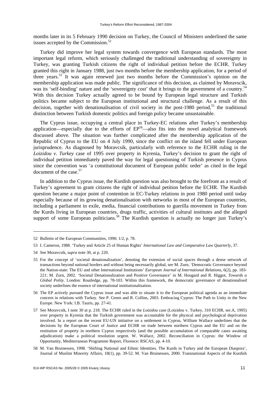months later in its 5 February 1990 decision on Turkey, the Council of Ministers underlined the same issues accepted by the Commission. $52$ 

Turkey did improve her legal system towards convergence with European standards. The most important legal reform, which seriously challenged the traditional understanding of sovereignty in Turkey, was granting Turkish citizens the right of individual petition before the ECHR. Turkey granted this right in January 1988, just two months before the membership application, for a period of three years.<sup>53</sup> It was again renewed just two months before the Commission's opinion on the membership application was made public. The significance of this decision, as claimed by Moravscik, was its 'self-binding' nature and the 'sovereignty cost' that it brings to the government of a country.<sup>54</sup> With this decision Turkey actually agreed to be bound by European legal structure and Turkish politics became subject to the European institutional and structural challenge. As a result of this decision, together with denationalisation of civil society in the post-1980 period,<sup>55</sup> the traditional distinction between Turkish domestic politics and foreign policy became unsustainable.

The Cyprus issue, occupying a central place in Turkey-EC relations after Turkey's membership application—especially due to the efforts of  $EP^{56}$ —also fits into the novel analytical framework discussed above. The situation was further complicated after the membership application of the Republic of Cyprus to the EU on 4 July 1990, since the conflict on the island fell under European jurisprudence. As diagnosed by Moravcsik, particularly with reference to the ECHR ruling in the *Loizidou v. Turkey* case of 1995 over property in Kyrenia, Turkey's decision to grant the right of individual petition immediately paved the way for legal questioning of Turkish presence in Cyprus since the convention was 'a constitutional document of European public order' as cited in the legal document of the case.<sup>57</sup>

In addition to the Cyprus issue, the Kurdish question was also brought to the forefront as a result of Turkey's agreement to grant citizens the right of individual petition before the ECHR. The Kurdish question became a major point of contention in EC-Turkey relations in post 1980 period until today especially because of its growing denationalisation with networks in most of the European countries, including a parliament in exile, media, financial contributions to guerilla movement in Turkey from the Kurds living in European countries, drugs traffic, activities of cultural institutes and the alleged support of some European politicians.<sup>58</sup> The Kurdish question is actually no longer just Turkey's

<sup>52</sup> Bulletin of the European Communities, 1990. 1/2, p. 78.

<sup>53</sup> I. Cameron, 1988. 'Turkey and Article 25 of Human Rights' *International Law and Comparative Law Quarterly*, 37.

<sup>54</sup> See Moravcsik, *supra* note 30, at p. 220.

<sup>55</sup> For the concept of 'societal denationalization', denoting the extension of social spaces through a dense network of transactions beyond national borders and without being necessarily global, see M. Zurn, 'Democratic Governance beyond the Nation-state: The EU and other International Institutions' *European Journal of International Relations*, 6(2), pp. 183- 221; M. Zurn, 2002. 'Societal Denationalization and Positive Governance' in M. Hougard and R. Higgot, *Towards a Global Polity*. London: Routledge, pp. 78-103. Within this framework, the democratic governance of denationalised society underlines the essence of international institutionalisation.

<sup>56</sup> The EP actively pursued the Cyprus issue and was able to situate it to the European political agenda as an immediate concern in relations with Turkey. See P. Green and R. Collins, 2003. Embracing Cyprus: The Path to Unity in the New Europe. New York: I.B. Tauris, pp. 27-41.

<sup>57</sup> See Moravcsik, I note 30 at p. 218. The ECHR ruled in the *Loizidou* case (Loizidou v. Turkey, 310 ECHR, ser.A, 1995) over property in Kyrenia that the Turkish government was accountable for the physical and psychological deprivation involved. In a report on the recent EU-UN initiative on a settlement in Cyprus, William Wallace underlines that the decisions by the European Court of Justice and ECHR on trade between northern Cyprus and the EU and on the restitution of property in northern Cyprus respectively (and the possible accumulation of comparable cases awaiting adjudication) make a political resolution urgent. W. Wallace, 2002. Reconciliation in Cyprus: the Window of Opportunity, Mediterranean Programme Report, Florence: RSCAS, pp. 4-10.

<sup>58</sup> M. Van Bruinessen, 1998. 'Shifting National and Ethnic Identities. The Kurds in Turkey and the European Diaspora', Journal of Muslim Minority Affairs, 18(1), pp. 39-52. M. Van Bruinessen, 2000. Transnational Aspects of the Kurdish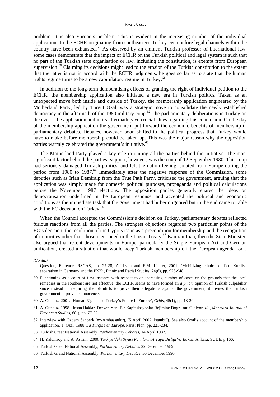problem. It is also Europe's problem. This is evident in the increasing number of the individual applications to the ECHR originating from southeastern Turkey even before legal channels within the country have been exhausted.<sup>59</sup> As observed by an eminent Turkish professor of international law, some cases demonstrate that the impact of ECHR on the Turkish political and legal system is such that no part of the Turkish state organisation or law, including the constitution, is exempt from European supervision.<sup>60</sup> Claiming its decisions might lead to the erosion of the Turkish constitution to the extent that the latter is not in accord with the ECHR judgments, he goes so far as to state that the human rights regime turns to be a new capitulatory regime in Turkey.<sup>61</sup>

In addition to the long-term democratising effects of granting the right of individual petition to the ECHR, the membership application also initiated a new era in Turkish politics. Taken as an unexpected move both inside and outside of Turkey, the membership application engineered by the Motherland Party, led by Turgut Ozal, was a strategic move to consolidate the newly established democracy in the aftermath of the 1980 military coup.<sup>62</sup> The parliamentary deliberations in Turkey on the eve of the application and in its aftermath gave crucial clues regarding this conclusion. On the day of the membership application the government put forward the economic benefits of membership in parliamentary debates. Debates, however, soon shifted to the political progress that Turkey would have to make before membership could be taken up. This was the major reason why the opposition parties warmly celebrated the government's initiative.<sup>63</sup>

The Motherland Party played a key role in uniting all the parties behind the initiative. The most significant factor behind the parties' support, however, was the coup of 12 September 1980. This coup had seriously damaged Turkish politics, and left the nation feeling isolated from Europe during the period from 1980 to 1987.<sup>64</sup> Immediately after the negative response of the Commission, some deputies such as Irfan Demiralp from the True Path Party, criticised the government, arguing that the application was simply made for domestic political purposes, propaganda and political calculations before the November 1987 elections. The opposition parties generally shared the ideas on democratisation underlined in the European response, and accepted the political and economic conditions as the immediate task that the government had hitherto ignored but in the end came to table with the EC decision on Turkey.<sup>65</sup>

When the Council accepted the Commission's decision on Turkey, parliamentary debates reflected furious reactions from all the parties. The strongest objections regarded two particular points of the EC's decision: the resolution of the Cyprus issue as a precondition for membership and the recognition of minorities other than those mentioned in the Lozan Treaty.<sup>66</sup> Kamran Inan, then the State Minister, also argued that recent developments in Europe, particularly the Single European Act and German unification, created a situation that would keep Turkish membership off the European agenda for a

63 Turkish Great National Assembly, *Parliamentary Debates*, 14 April 1987.

64 H. Yalcinsoy and A. Asirim, 2000. *Turkiye'deki Siyasi Partilerin Avrupa Birligi'ne Bakisi*. Ankara: SUDE, p.166.

65 Turkish Great National Assembly, *Parliamentary Debates*, 22 December 1989.

*<sup>(</sup>Contd.)* 

Question, Florence: RSCAS, pp. 27-28; A.J.Lyon and E.M. Ucarer, 2001. 'Mobilizing ethnic conflict: Kurdish separatism in Germany and the PKK', Ethnic and Racial Studies, 24(6), pp. 925-948.

<sup>59</sup> Functioning as a court of first instance with respect to an increasing number of cases on the grounds that the local remedies in the southeast are not effective, the ECHR seems to have formed an *a priori* opinion of Turkish culpability since instead of requiring the plaintiffs to prove their allegations against the government, it invites the Turkish government to prove its innocence.

<sup>60</sup> A. Gunduz, 2001. 'Human Rights and Turkey's Future in Europe', *Orbis*, 45(1), pp. 18-20.

<sup>61</sup> A. Gunduz, 1998. 'Insan Haklari Derken Yeni Bir Kapitulasyonlar Rejimine Dogru mu Gidiyoruz?', *Marmara Journal of European Studies*, 6(1), pp. 77-82.

<sup>62</sup> Interview with Ozdem Sanberk (ex-Ambassador), (5 April 2002, Istanbul). See also Ozal's account of the membership application, T. Ozal, 1988. *La Turquie en Europe*. Paris: Plon, pp. 221-234.

<sup>66</sup> Turkish Grand National Assembly, *Parliamentary Debates*, 30 December 1990.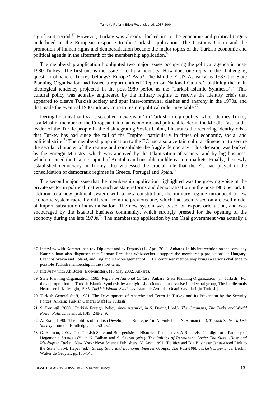significant period.<sup>67</sup> However, Turkey was already 'locked in' to the economic and political targets underlined in the European response to the Turkish application. The Customs Union and the promotion of human rights and democratisation became the major topics of the Turkish economic and political agenda in the aftermath of the membership application.<sup>68</sup>

The membership application highlighted two major issues occupying the political agenda in post-1980 Turkey. The first one is the issue of cultural identity. How does one reply to the challenging question of where Turkey belongs? Europe? Asia? The Middle East? As early as 1983 the State Planning Organisation had issued a report entitled 'Report on National Culture', outlining the main ideological tendency projected in the post-1980 period as the 'Turkish-Islamic Synthesis'.<sup>69</sup> This cultural policy was actually engineered by the military regime to resolve the identity crisis that appeared to cleave Turkish society and spur inter-communal clashes and anarchy in the 1970s, and that made the eventual 1980 military coup to restore political order inevitable.<sup>70</sup>

Deringil claims that Ozal's so called 'new vision' in Turkish foreign policy, which defines Turkey as a Muslim member of the European Club, an economic and political leader in the Middle East, and a leader of the Turkic people in the disintegrating Soviet Union, illustrates the recurring identity crisis that Turkey has had since the fall of the Empire—particularly in times of economic, social and political strife.<sup>71</sup> The membership application to the EC had also a certain cultural dimension to secure the secular character of the regime and consolidate the fragile democracy. This decision was backed by the Foreign Ministry, which was annoyed by the Islamisation of society, and by big business, which resented the Islamic capital of Anatolia and unstable middle-eastern markets. Finally, the newly established democracy in Turkey also witnessed the crucial role that the EC had played in the consolidation of democratic regimes in Greece, Portugal and Spain.<sup>72</sup>

The second major issue that the membership application highlighted was the growing voice of the private sector in political matters such as state reforms and democratisation in the post-1980 period. In addition to a new political system with a new constitution, the military regime introduced a new economic system radically different from the previous one, which had been based on a closed model of import substitution industrialisation. The new system was based on export orientation, and was encouraged by the Istanbul business community, which strongly pressed for the opening of the economy during the late 1970s.<sup>73</sup> The membership application by the Ozal government was actually a

<sup>67</sup> Interview with Kamran Inan (ex-Diplomat and ex-Deputy) (12 April 2002, Ankara). In his intervention on the same day Kamran Inan also diagnoses that German President Weizsaecker's support the membership projections of Hungary, Czechoslovakia and Poland, and England's encouragement of EFTA countries' membership brings a serious challenge to possible Turkish membership in the short term.

<sup>68</sup> Interview with Ali Bozer (Ex-Minister), (15 May 2002, Ankara).

<sup>69</sup> State Planning Organization, 1983. *Report on National Culture*. Ankara: State Planning Organization, [in Turkish]. For the appropriation of Turkish-Islamic Synthesis by a religiously oriented conservative intellectual group, The Intellectuals Heart, see I. Kafesoglu, 1985. *Turkish Islamic Synthesis*. Istanbul: Aydinlar Ocagi Yayinlari [in Turkish].

<sup>70</sup> Turkish General Staff, 1981. The Development of Anarchy and Terror in Turkey and its Prevention by the Security Forces. Ankara: Turkish General Staff [in Turkish].

<sup>71</sup> S. Deringil, 2000. 'Turkish Foreign Policy since Ataturk', in S. Deringil (ed.), *The Ottomans, The Turks and World Power Politics*. Istanbul: ISIS, 248-249.

<sup>72</sup> A. Eralp, 1990. 'The Politics of Turkish Development Strategies' in A. Finkel and N. Sirman (ed.), *Turkish State, Turkish Society*. London: Routledge, pp. 250-252.

<sup>73</sup> G. Yalman, 2002. 'The Turkish State and Bourgeoisie in Historical Perspective: A Relativist Paradigm or a Panoply of Hegemonic Strategies?', in N. Balkan and S. Savran (eds.), *The Politics of Permanent Crisis: The State, Class and Ideology in Turkey*. New York: Nova Science Publishers; Y. Arat, 1991. 'Politics and Big Business: Janus-faced Link to the State' in M. Heper (ed.), *Strong State and Economic Interest Groups: The Post-1980 Turkish Experience*. Berlin: Walter de Gruyter, pp.135-148.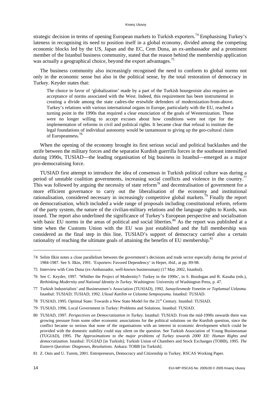strategic decision in terms of opening European markets to Turkish exporters.<sup>74</sup> Emphasising Turkey's lateness in recognising its need to position itself in a global economy, divided among the competing economic blocks led by the US, Japan and the EC, Cem Duna, an ex-ambassador and a prominent member of the Istanbul business community, stated that the reason behind the membership application was actually a geographical choice, beyond the export advantages.<sup>75</sup>

The business community also increasingly recognised the need to conform to global norms not only in the economic sense but also in the political sense, by the total restoration of democracy in Turkey. Keyder states that:

The choice in favor of 'globalization' made by a part of the Turkish bourgeoisie also requires an acceptance of norms associated with the West. Indeed, this requirement has been instrumental in creating a divide among the state cadres-the erstwhile defenders of modernization-from-above. Turkey's relations with various international organs in Europe, particularly with the EU, reached a turning point in the 1990s that required a clear enunciation of the goals of Westernization. These were no longer willing to accept excuses about how conditions were not ripe for the implementation of reforms in civil and political rights. It became clear that refusal to institute the legal foundations of individual autonomy would be tantamount to giving up the geo-cultural claim of Europeanness.<sup>7</sup>

When the opening of the economy brought its first serious social and political backlashes and the strife between the military forces and the separatist Kurdish guerrilla forces in the southeast intensified during 1990s, TUSIAD—the leading organisation of big business in Istanbul—emerged as a major pro-democratising force.

TUSIAD first attempt to introduce the idea of consensus in Turkish political culture was during a period of unstable coalition governments, increasing social conflicts and violence in the country.<sup>77</sup> This was followed by arguing the necessity of state reform<sup>78</sup> and decentralisation of government for a more efficient governance to carry out the liberalisation of the economy and institutional rationalisation, considered necessary in increasingly competitive global markets.79 Finally the report on democratisation, which included a wide range of proposals including constitutional reform, reform of the party system, the nature of the civilian-military relations and the language rights to Kurds, was issued. The report also underlined the significance of Turkey's European perspective and socialisation with basic EU norms in the areas of political and social liberties.<sup>80</sup> As the report was published at a time when the Customs Union with the EU was just established and the full membership was considered as the final step in this line, TUSIAD's support of democracy carried also a certain rationality of reaching the ultimate goals of attaining the benefits of EU membership.<sup>81</sup>

- 78 TUSIAD, 1995. Optimal State: Towards a New State Model for the 21<sup>st</sup> Century. Istanbul: TUSIAD.
- 79 TUSIAD, 1996. Local Government in Turkey: Problems and Solutions. Istanbul: TUSIAD.

<sup>74</sup> Selim Ilkin notes a close parallelism between the government's decisions and trade sector especially during the period of 1984-1987. See S. Ilkin, 1991. 'Exporters: Favored Dependency' in Heper, *ibid.,* at pp. 89-98.

<sup>75</sup> Interview with Cem Duna (ex-Ambassador, well-known businessman) (17 May 2002, Istanbul).

<sup>76</sup> See C. Keyder, 1997. 'Whither the Project of Modernity?: Turkey in the 1990s', in S. Bozdogan and R. Kasaba (eds.), *Rethinking Modernity and National Identity in Turkey*. Washington: University of Washington Press, p. 47.

<sup>77</sup> Turkish Industrialists' and Businessmen's Association (TUSIAD), 1992. *Sanayilesmede Yonetim ve Toplumsal Uzlasma*. Istanbul: TUSIAD; TUSIAD, 1992. *Ulusal Katilim ve Uzlasma Sempozyumu*. Istanbul: TUSIAD.

<sup>80</sup> TUSIAD, 1997. *Perspectives on Democratization in Turkey*. Istanbul: TUSIAD. From the mid-1990s onwards there was growing pressure from some other economic associations for the political solutions on the Kurdish question, since the conflict became so serious that none of the organisations with an interest in economic development which could be provided with the domestic stability could stay silent on the question. See Turkish Association of Young Businessman (TUGIAD), 1995. *The Approximations to the major problems of Turkey towards 2000 XII: Human Rights and democratization.* Istanbul: TUGIAD [in Turkish]; Turkish Union of Chambers and Stock Exchanges (TOBB), 1995. *The Eastern Question: Diagnoses, Resolutions.* Ankara: TOBB [in Turkish].

<sup>81</sup> Z. Onis and U. Turem, 2001. Entrepreneurs, Democracy and Citizenship in Turkey. RSCAS Working Paper.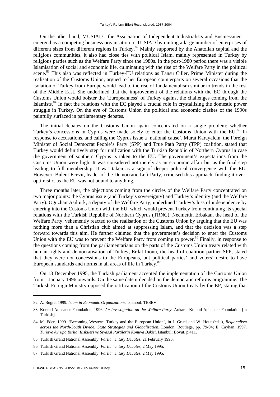On the other hand, MUSIAD—the Association of Independent Industrialists and Businessmen emerged as a competing business organisation to TUSIAD by uniting a large number of enterprises of different sizes from different regions in Turkey.<sup>82</sup> Mainly supported by the Anatolian capital and the religious communities, it also had close ties with political Islam, mainly represented in Turkey by religious parties such as the Welfare Party since the 1980s. In the post-1980 period there was a visible Islamisation of social and economic life, culminating with the rise of the Welfare Party in the political scene.<sup>83</sup> This also was reflected in Turkey-EU relations as Tansu Ciller, Prime Minister during the realisation of the Customs Union, argued to her European counterparts on several occasions that the isolation of Turkey from Europe would lead to the rise of fundamentalism similar to trends in the rest of the Middle East. She underlined that the improvement of the relations with the EC through the Customs Union would bolster the 'Europeanness' of Turkey against the challenges coming from the Islamists.<sup>84</sup> In fact the relations with the EC played a crucial role in crystallising the domestic power struggle in Turkey. On the eve of Customs Union the political and economic clashes of the 1990s painfully surfaced in parliamentary debates.

The initial debates on the Customs Union again concentrated on a single problem: whether Turkey's concessions in Cyprus were made solely to enter the Customs Union with the EU.<sup>85</sup> In response to accusations, and calling the Cyprus issue a 'national cause', Murat Karayalcin, the Foreign Minister of Social Democrat People's Party (SPP) and True Path Party (TPP) coalition, stated that Turkey would definitively step for unification with the Turkish Republic of Northern Cyprus in case the government of southern Cyprus is taken to the EU. The government's expectations from the Customs Union were high. It was considered not merely as an economic affair but as the final step leading to full membership. It was taken as a sign of deeper political convergence with the EU. However, Bulent Ecevit, leader of the Democratic Left Party, criticised this approach, finding it overoptimistic, as the EU was not bound to anything.

Three months later, the objections coming from the circles of the Welfare Party concentrated on two major points: the Cyprus issue (and Turkey's sovereignty) and Turkey's identity (and the Welfare Party). Oguzhan Asilturk, a deputy of the Welfare Party, underlined Turkey's loss of independence by entering into the Customs Union with the EU, which would prevent Turkey from continuing its special relations with the Turkish Republic of Northern Cyprus (TRNC). Necmettin Erbakan, the head of the Welfare Party, vehemently reacted to the realisation of the Customs Union by arguing that the EU was nothing more than a Christian club aimed at suppressing Islam, and that the decision was a step forward towards this aim. He further claimed that the government's decision to enter the Customs Union with the EU was to prevent the Welfare Party from coming to power.<sup>86</sup> Finally, in response to the questions coming from the parliamentarians on the parts of the Customs Union treaty related with human rights and democratisation of Turkey, Erdal Inonu, the head of coalition partner SPP, stated that they were not concessions to the Europeans, but political parties' and voters' desire to have European standards and norms in all areas of life in Turkey.<sup>87</sup>

On 13 December 1995, the Turkish parliament accepted the implementation of the Customs Union from 1 January 1996 onwards. On the same date it decided on the democratic reforms programme. The Turkish Foreign Ministry opposed the ratification of the Customs Union treaty by the EP, stating that

<sup>82</sup> A. Bugra, 1999. *Islam in Economic Organizations*. Istanbul: TESEV.

<sup>83</sup> Konrad Adenauer Foundation, 1996. *An Investigation on the Welfare Party.* Ankara: Konrad Adenauer Foundation [in Turkish].

<sup>84</sup> M. Eder, 1999. 'Becoming Western: Turkey and the European Union', in J. Gruel and W. Hout (eds.), *Regionalism across the North-South Divide: State Strategies and Globalization*. London: Routlege, pp. 79-94; E. Cayhan, 1997. *Turkiye Avrupa Birligi Iliskileri ve Siyasal Partilerin Konuya Bakisi*. Istanbul: Boyut, p.411.

<sup>85</sup> Turkish Grand National Assembly: *Parliamentary Debates*, 21 February 1995.

<sup>86</sup> Turkish Grand National Assembly: *Parliamentary Debates*, 2 May 1995.

<sup>87</sup> Turkish Grand National Assembly: *Parliamentary Debates*, 2 May 1995.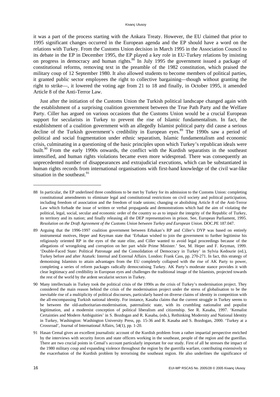it was a part of the process starting with the Ankara Treaty. However, the EU claimed that prior to 1995 significant changes occurred in the European agenda and the EP should have a word on the relations with Turkey. From the Customs Union decision in March 1995 in the Association Council to its debate in the EP in December 1995, the EP played a key role in EU-Turkey relations by insisting on progress in democracy and human rights.<sup>88</sup> In July 1995 the government issued a package of constitutional reforms, removing text in the preamble of the 1982 constitution, which praised the military coup of 12 September 1980. It also allowed students to become members of political parties, it granted public sector employees the right to collective bargaining—though without granting the right to strike—, it lowered the voting age from 21 to 18 and finally, in October 1995, it amended Article 8 of the Anti-Terror Law.

Just after the initiation of the Customs Union the Turkish political landscape changed again with the establishment of a surprising coalition government between the True Path Party and the Welfare Party. Ciller has argued on various occasions that the Customs Union would be a crucial European support for secularists in Turkey to prevent the rise of Islamic fundamentalism. In fact, the establishment of a coalition government with an allegedly Islamist political party did cause a serious decline of the Turkish government's credibility in European eyes.<sup>89</sup> The 1990s saw a period of political and social fragmentation under ethnic separatism, Islamic fundamentalism and economic crisis, culminating in a questioning of the basic principles upon which Turkey's republican ideals were built.<sup>90</sup> From the early 1990s onwards, the conflict with the Kurdish separatists in the southeast intensified, and human rights violations became even more widespread. There was consequently an unprecedented number of disappearances and extrajudicial executions, which can be substantiated in human rights records from international organisations with first-hand knowledge of the civil war-like situation in the southeast.<sup>91</sup>

 $\overline{\phantom{a}}$ 

<sup>88</sup> In particular, the EP underlined three conditions to be met by Turkey for its admission to the Customs Union: completing constitutional amendments to eliminate legal and constitutional restrictions on civil society and political participation, including freedom of association and the freedom of trade unions; changing or abolishing Article 8 of the Anti-Terror Law which forbade the issue of written or verbal propaganda and demonstrations which had the aim of violating the political, legal, social, secular and economic order of the country so as to impair the integrity of the Republic of Turkey, its territory and its nation; and finally releasing all the DEP representatives in prison. See, European Parliament, 1995. *Resolution on the Draft Agreement of the Customs Union between Turkey and European Union*. DOC.PE 187.047.

<sup>89</sup> Arguing that the 1996-1997 coalition government between Erbakan's RP and Ciller's DYP was based on entirely instrumental motives, Heper and Keyman state that 'Erbakan wished to join the government to further legitimise his religiously oriented RP in the eyes of the state elite, and Ciller wanted to avoid legal proceedings because of the allegations of wrongdoing and corruption on her part while Prime Minister.' See, M. Heper and F. Keyman, 1999. 'Double-Faced State: Political Patronage and the Consolidation of Democracy in Turkey' in Sylvia Kedourie (ed.), Turkey before and after Ataturk: Internal and External Affairs. London: Frank Cass, pp. 270-271. In fact, this strategy of demonising Islamists to attain advantages from the EU completely collapsed with the rise of AK Party to power, completing a series of reform packages radically democratising Turkey. AK Party's moderate stance provides it with clear legitimacy and credibility in European eyes and challenges the traditional image of the Islamists, projected towards the rest of the world by the ardent secularist sectors in Turkey.

<sup>90</sup> Many intellectuals in Turkey took the political crisis of the 1990s as the crisis of Turkey's modernisation project. They considered the main reason behind the crisis of the modernisation project under the stress of globalisation to be the inevitable rise of a multiplicity of political discourses, particularly based on diverse claims of identity in competition with the all-encompassing Turkish national identity. For instance, Kasaba claims that the current struggle in Turkey seems to be between the old-authoritarian-modernisation, paternalistic state, with its crumbling nationalist and populist legitimation, and a modernist conception of political liberalism and citizenship. See R. Kasaba, 1997. 'Kemalist Certainties and Modern Ambiguities' in S. Bozdogan and R. Kasaba, (eds.), Rethinking Modernity and National Identity in Turkey, Washington: Washington University Press, pp. 15-36 and R. Kasaba and S. Bozdogan, 2000. 'Turkey at a Crossroad', Journal of International Affairs, 54(1), pp. 1-20.

<sup>91</sup> Hasan Cemal gives an excellent journalistic account of the Kurdish problem from a rather impartial perspective enriched by the interviews with security forces and state officers working in the southeast, people of the region and the guerillas. There are two crucial points in Cemal's account particularly important for our study. First of all he stresses the impact of the 1980 military coup and expanding violence throughout the region by the guerrilla warfare, contributing extensively to the exacerbation of the Kurdish problem by terrorising the southeast region. He also underlines the significance of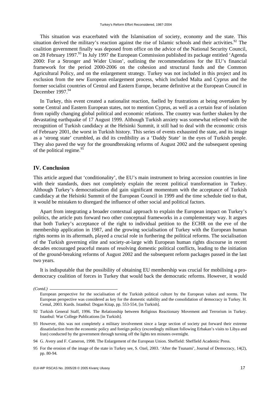This situation was exacerbated with the Islamisation of society, economy and the state. This situation derived the military's reaction against the rise of Islamic schools and their activities.<sup>92</sup> The coalition government finally was deposed from office on the advice of the National Security Council, on 28 February 1997.<sup>93</sup> In July 1997 the European Commission published its package entitled 'Agenda 2000: For a Stronger and Wider Union', outlining the recommendations for the EU's financial framework for the period 2000-2006 on the cohesion and structural funds and the Common Agricultural Policy, and on the enlargement strategy. Turkey was not included in this project and its exclusion from the new European enlargement process, which included Malta and Cyprus and the former socialist countries of Central and Eastern Europe, became definitive at the European Council in December 1997.<sup>94</sup>

In Turkey, this event created a nationalist reaction, fuelled by frustrations at being overtaken by some Central and Eastern European states, not to mention Cyprus, as well as a certain fear of isolation from rapidly changing global political and economic relations. The country was further shaken by the devastating earthquake of 17 August 1999. Although Turkish anxiety was somewhat relieved with the recognition of Turkish candidacy at the Helsinki Summit, it still had to deal with the economic crisis of February 2001, the worst in Turkish history. This series of events exhausted the state, and its image as a 'strong state' crumbled, as did its credibility as a 'Daddy State' in the eyes of Turkish people. They also paved the way for the groundbreaking reforms of August 2002 and the subsequent opening of the political regime.<sup>95</sup>

#### **IV. Conclusion**

This article argued that 'conditionality', the EU's main instrument to bring accession countries in line with their standards, does not completely explain the recent political transformation in Turkey. Although Turkey's democratisation did gain significant momentum with the acceptance of Turkish candidacy at the Helsinki Summit of the European Council in 1999 and the time schedule tied to that, it would be mistaken to disregard the influence of other social and political factors.

Apart from integrating a broader contextual approach to explain the European impact on Turkey's politics, the article puts forward two other conceptual frameworks in a complementary way. It argues that both Turkey's acceptance of the right to individual petition to the ECHR on the eve of the membership application in 1987, and the growing socialisation of Turkey with the European human rights norms in its aftermath, played a crucial role in furthering the political reforms. The socialisation of the Turkish governing elite and society-at-large with European human rights discourse in recent decades encouraged peaceful means of resolving domestic political conflicts, leading to the initiation of the ground-breaking reforms of August 2002 and the subsequent reform packages passed in the last two years.

It is indisputable that the possibility of obtaining EU membership was crucial for mobilising a prodemocracy coalition of forces in Turkey that would back the democratic reforms. However, it would

*(Contd.)* 

European perspective for the socialisation of the Turkish political culture by the European values and norms. The European perspective was considered as key for the domestic stability and the consolidation of democracy in Turkey. H. Cemal, 2003. Kurds. Istanbul: Dogan Kitap, pp. 553-554, [in Turkish].

<sup>92</sup> Turkish General Staff, 1996. The Relationship between Religious Reactionary Movement and Terrorism in Turkey. Istanbul: War College Publications [in Turkish].

<sup>93</sup> However, this was not completely a military involvement since a large section of society put forward their extreme dissatisfaction from the economic policy and foreign policy (exceedingly militant following Erbakan's visits to Libya and Iran) conducted by the government through turning off the lights ten minutes overnight.

<sup>94</sup> G. Avery and F. Cameron, 1998. The Enlargement of the European Union. Sheffield: Sheffield Academic Press.

<sup>95</sup> For the erosion of the image of the state in Turkey see, S. Ozel, 2003. 'After the Tsunami', Journal of Democracy, 14(2), pp. 80-94.